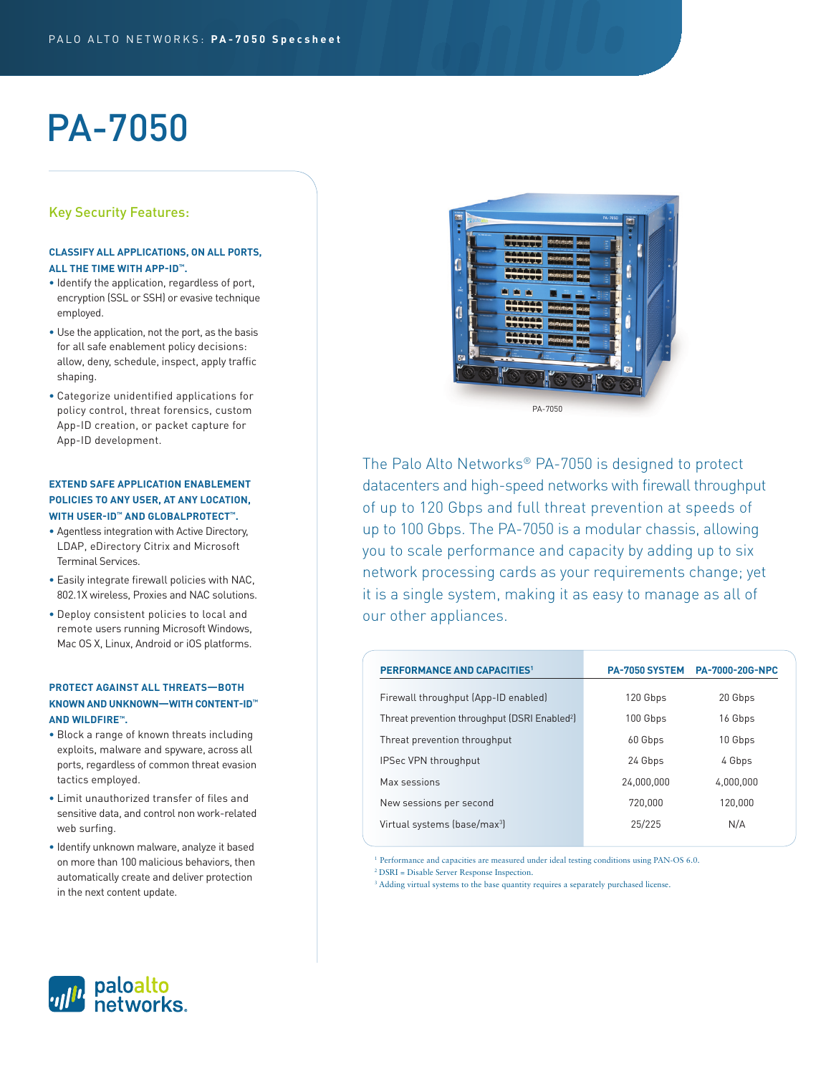# PA-7050

# Key Security Features:

## **CLASSIFY ALL APPLICATIONS, ON ALL PORTS, ALL THE TIME WITH APP-ID™.**

- Identify the application, regardless of port, encryption (SSL or SSH) or evasive technique employed.
- Use the application, not the port, as the basis for all safe enablement policy decisions: allow, deny, schedule, inspect, apply traffic shaping.
- Categorize unidentified applications for policy control, threat forensics, custom App-ID creation, or packet capture for App-ID development.

## **EXTEND SAFE APPLICATION ENABLEMENT POLICIES TO ANY USER, AT ANY LOCATION, WITH USER-ID™ AND GLOBALPROTECT™.**

- Agentless integration with Active Directory, LDAP, eDirectory Citrix and Microsoft Terminal Services.
- Easily integrate firewall policies with NAC, 802.1X wireless, Proxies and NAC solutions.
- Deploy consistent policies to local and remote users running Microsoft Windows, Mac OS X, Linux, Android or iOS platforms.

## **PROTECT AGAINST ALL THREATS—BOTH KNOWN AND UNKNOWN—WITH CONTENT-ID™ AND WILDFIRE™.**

- Block a range of known threats including exploits, malware and spyware, across all ports, regardless of common threat evasion tactics employed.
- Limit unauthorized transfer of files and sensitive data, and control non work-related web surfing.
- Identify unknown malware, analyze it based on more than 100 malicious behaviors, then automatically create and deliver protection in the next content update.



The Palo Alto Networks® PA-7050 is designed to protect datacenters and high-speed networks with firewall throughput of up to 120 Gbps and full threat prevention at speeds of up to 100 Gbps. The PA-7050 is a modular chassis, allowing you to scale performance and capacity by adding up to six network processing cards as your requirements change; yet it is a single system, making it as easy to manage as all of our other appliances.

| <b>PERFORMANCE AND CAPACITIES1</b>                        | PA-7050 SYSTEM | <b>PA-7000-20G-NPC</b> |
|-----------------------------------------------------------|----------------|------------------------|
| Firewall throughput (App-ID enabled)                      | 120 Gbps       | 20 Gbps                |
| Threat prevention throughput (DSRI Enabled <sup>2</sup> ) | 100 Gbps       | 16 Gbps                |
| Threat prevention throughput                              | 60 Gbps        | 10 Gbps                |
| <b>IPSec VPN throughput</b>                               | 24 Gbps        | 4 Gbps                 |
| Max sessions                                              | 24,000,000     | 4.000.000              |
| New sessions per second                                   | 720.000        | 120.000                |
| Virtual systems (base/max <sup>3</sup> )                  | 25/225         | N/A                    |
|                                                           |                |                        |

<sup>1</sup> Performance and capacities are measured under ideal testing conditions using PAN-OS 6.0.

<sup>2</sup> DSRI = Disable Server Response Inspection.

<sup>3</sup> Adding virtual systems to the base quantity requires a separately purchased license.

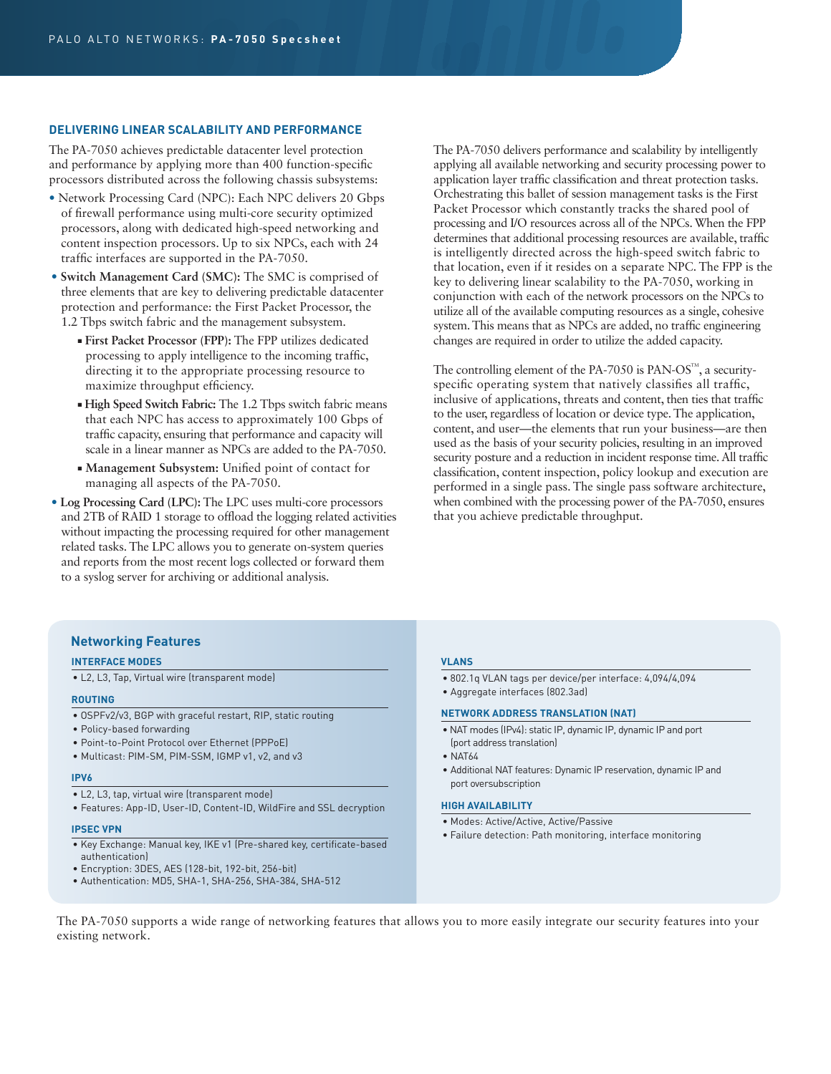#### **DELIVERING LINEAR SCALABILITY AND PERFORMANCE**

The PA-7050 achieves predictable datacenter level protection and performance by applying more than 400 function-specific processors distributed across the following chassis subsystems:

- Network Processing Card (NPC): Each NPC delivers 20 Gbps of firewall performance using multi-core security optimized processors, along with dedicated high-speed networking and content inspection processors. Up to six NPCs, each with 24 traffic interfaces are supported in the PA-7050.
- **Switch Management Card (SMC):** The SMC is comprised of three elements that are key to delivering predictable datacenter protection and performance: the First Packet Processor, the 1.2 Tbps switch fabric and the management subsystem.
	- **First Packet Processor (FPP):** The FPP utilizes dedicated processing to apply intelligence to the incoming traffic, directing it to the appropriate processing resource to maximize throughput efficiency.
	- **High Speed Switch Fabric:** The 1.2 Tbps switch fabric means that each NPC has access to approximately 100 Gbps of traffic capacity, ensuring that performance and capacity will scale in a linear manner as NPCs are added to the PA-7050.
	- **Management Subsystem:** Unified point of contact for managing all aspects of the PA-7050.
- **Log Processing Card (LPC):** The LPC uses multi-core processors and 2TB of RAID 1 storage to offload the logging related activities without impacting the processing required for other management related tasks. The LPC allows you to generate on-system queries and reports from the most recent logs collected or forward them to a syslog server for archiving or additional analysis.

The PA-7050 delivers performance and scalability by intelligently applying all available networking and security processing power to application layer traffic classification and threat protection tasks. Orchestrating this ballet of session management tasks is the First Packet Processor which constantly tracks the shared pool of processing and I/O resources across all of the NPCs. When the FPP determines that additional processing resources are available, traffic is intelligently directed across the high-speed switch fabric to that location, even if it resides on a separate NPC. The FPP is the key to delivering linear scalability to the PA-7050, working in conjunction with each of the network processors on the NPCs to utilize all of the available computing resources as a single, cohesive system. This means that as NPCs are added, no traffic engineering changes are required in order to utilize the added capacity.

The controlling element of the PA-7050 is PAN-OS<sup>TM</sup>, a securityspecific operating system that natively classifies all traffic, inclusive of applications, threats and content, then ties that traffic to the user, regardless of location or device type. The application, content, and user—the elements that run your business—are then used as the basis of your security policies, resulting in an improved security posture and a reduction in incident response time. All traffic classification, content inspection, policy lookup and execution are performed in a single pass. The single pass software architecture, when combined with the processing power of the PA-7050, ensures that you achieve predictable throughput.

## **Networking Features**

#### **INTERFACE MODES**

• L2, L3, Tap, Virtual wire (transparent mode)

#### **ROUTING**

- OSPFv2/v3, BGP with graceful restart, RIP, static routing
- Policy-based forwarding
- Point-to-Point Protocol over Ethernet (PPPoE)
- Multicast: PIM-SM, PIM-SSM, IGMP v1, v2, and v3

#### **IPV6**

- L2, L3, tap, virtual wire (transparent mode)
- Features: App-ID, User-ID, Content-ID, WildFire and SSL decryption

## **IPSEC VPN**

- Key Exchange: Manual key, IKE v1 (Pre-shared key, certificate-based authentication)
- Encryption: 3DES, AES (128-bit, 192-bit, 256-bit)
- Authentication: MD5, SHA-1, SHA-256, SHA-384, SHA-512

## **VLANS**

- 802.1q VLAN tags per device/per interface: 4,094/4,094
- Aggregate interfaces (802.3ad)

## **NETWORK ADDRESS TRANSLATION (NAT)**

- NAT modes (IPv4): static IP, dynamic IP, dynamic IP and port (port address translation)
- NAT64
- Additional NAT features: Dynamic IP reservation, dynamic IP and port oversubscription

#### **HIGH AVAILABILITY**

- Modes: Active/Active, Active/Passive
- Failure detection: Path monitoring, interface monitoring

The PA-7050 supports a wide range of networking features that allows you to more easily integrate our security features into your existing network.